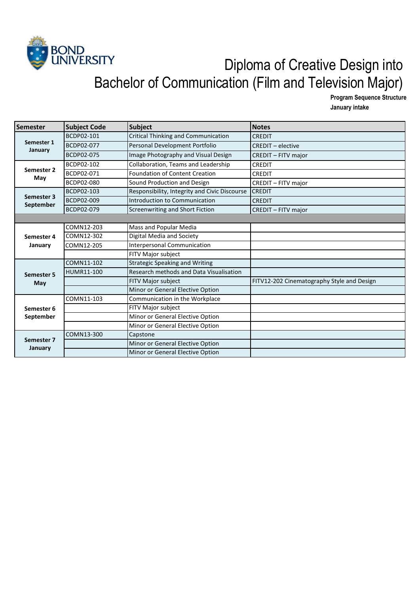

## BOND<br>UNIVERSITY Diploma of Creative Design into Bachelor of Communication (Film and Television Major)

**Program Sequence Structure**

**January intake** 

| Semester                 | <b>Subject Code</b> | <b>Subject</b>                                | <b>Notes</b>                               |
|--------------------------|---------------------|-----------------------------------------------|--------------------------------------------|
| Semester 1<br>January    | BCDP02-101          | Critical Thinking and Communication           | <b>CREDIT</b>                              |
|                          | BCDP02-077          | Personal Development Portfolio                | <b>CREDIT - elective</b>                   |
|                          | BCDP02-075          | Image Photography and Visual Design           | CREDIT - FITV major                        |
| Semester 2<br>May        | BCDP02-102          | Collaboration, Teams and Leadership           | <b>CREDIT</b>                              |
|                          | BCDP02-071          | Foundation of Content Creation                | <b>CREDIT</b>                              |
|                          | BCDP02-080          | Sound Production and Design                   | CREDIT - FITV major                        |
| Semester 3               | BCDP02-103          | Responsibility, Integrity and Civic Discourse | <b>CREDIT</b>                              |
|                          | BCDP02-009          | Introduction to Communication                 | <b>CREDIT</b>                              |
| September                | BCDP02-079          | Screenwriting and Short Fiction               | <b>CREDIT - FITV major</b>                 |
|                          |                     |                                               |                                            |
|                          | COMN12-203          | Mass and Popular Media                        |                                            |
| Semester 4<br>January    | COMN12-302          | Digital Media and Society                     |                                            |
|                          | COMN12-205          | <b>Interpersonal Communication</b>            |                                            |
|                          |                     | FITV Major subject                            |                                            |
|                          | COMN11-102          | <b>Strategic Speaking and Writing</b>         |                                            |
| <b>Semester 5</b><br>May | HUMR11-100          | Research methods and Data Visualisation       |                                            |
|                          |                     | FITV Major subject                            | FITV12-202 Cinematography Style and Design |
|                          |                     | Minor or General Elective Option              |                                            |
| Semester 6<br>September  | COMN11-103          | Communication in the Workplace                |                                            |
|                          |                     | FITV Major subject                            |                                            |
|                          |                     | Minor or General Elective Option              |                                            |
|                          |                     | Minor or General Elective Option              |                                            |
| Semester 7<br>January    | COMN13-300          | Capstone                                      |                                            |
|                          |                     | Minor or General Elective Option              |                                            |
|                          |                     | Minor or General Elective Option              |                                            |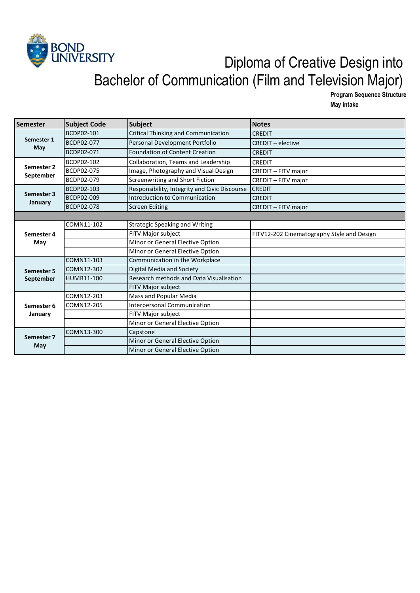

## BOND<br>UNIVERSITY Diploma of Creative Design into Bachelor of Communication (Film and Television Major)

**Program Sequence Structure May intake** 

| <b>Semester</b>         | <b>Subject Code</b> | Subject                                       | <b>Notes</b>                               |
|-------------------------|---------------------|-----------------------------------------------|--------------------------------------------|
| Semester 1<br>May       | BCDP02-101          | Critical Thinking and Communication           | <b>CREDIT</b>                              |
|                         | BCDP02-077          | Personal Development Portfolio                | <b>CREDIT - elective</b>                   |
|                         | BCDP02-071          | <b>Foundation of Content Creation</b>         | <b>CREDIT</b>                              |
| Semester 2<br>September | BCDP02-102          | Collaboration, Teams and Leadership           | <b>CREDIT</b>                              |
|                         | BCDP02-075          | Image, Photography and Visual Design          | CREDIT - FITV major                        |
|                         | BCDP02-079          | Screenwriting and Short Fiction               | CREDIT - FITV major                        |
| Semester 3              | BCDP02-103          | Responsibility, Integrity and Civic Discourse | <b>CREDIT</b>                              |
|                         | BCDP02-009          | Introduction to Communication                 | <b>CREDIT</b>                              |
| January                 | BCDP02-078          | <b>Screen Editing</b>                         | CREDIT - FITV major                        |
|                         |                     |                                               |                                            |
|                         | COMN11-102          | <b>Strategic Speaking and Writing</b>         |                                            |
| Semester 4<br>May       |                     | FITV Major subject                            | FITV12-202 Cinematography Style and Design |
|                         |                     | Minor or General Elective Option              |                                            |
|                         |                     | Minor or General Elective Option              |                                            |
|                         | COMN11-103          | Communication in the Workplace                |                                            |
| <b>Semester 5</b>       | COMN12-302          | Digital Media and Society                     |                                            |
| September               | HUMR11-100          | Research methods and Data Visualisation       |                                            |
|                         |                     | FITV Major subject                            |                                            |
| Semester 6<br>January   | COMN12-203          | Mass and Popular Media                        |                                            |
|                         | COMN12-205          | <b>Interpersonal Communication</b>            |                                            |
|                         |                     | FITV Major subject                            |                                            |
|                         |                     | Minor or General Elective Option              |                                            |
| Semester 7<br>May       | COMN13-300          | Capstone                                      |                                            |
|                         |                     | Minor or General Elective Option              |                                            |
|                         |                     | Minor or General Elective Option              |                                            |